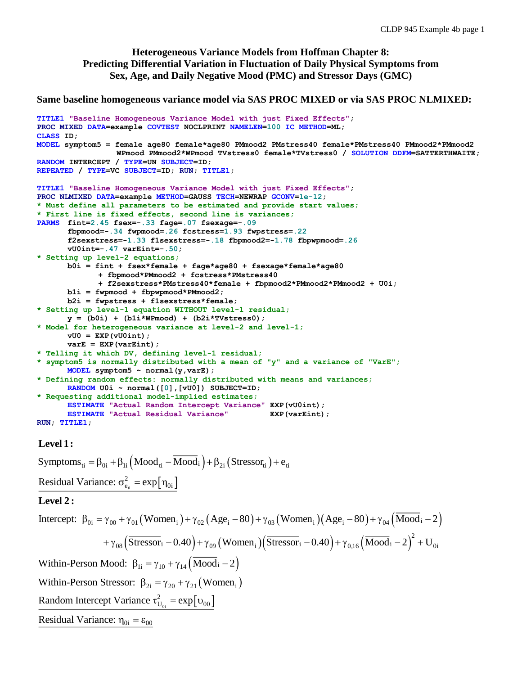# **Heterogeneous Variance Models from Hoffman Chapter 8: Predicting Differential Variation in Fluctuation of Daily Physical Symptoms from Sex, Age, and Daily Negative Mood (PMC) and Stressor Days (GMC)**

**Same baseline homogeneous variance model via SAS PROC MIXED or via SAS PROC NLMIXED:**

```
TITLE1 "Baseline Homogeneous Variance Model with just Fixed Effects"; 
PROC MIXED DATA=example COVTEST NOCLPRINT NAMELEN=100 IC METHOD=ML;
CLASS ID;
MODEL symptom5 = female age80 female*age80 PMmood2 PMstress40 female*PMstress40 PMmood2*PMmood2
                  WPmood PMmood2*WPmood TVstress0 female*TVstress0 / SOLUTION DDFM=SATTERTHWAITE;
RANDOM INTERCEPT / TYPE=UN SUBJECT=ID;
REPEATED / TYPE=VC SUBJECT=ID; RUN; TITLE1;
TITLE1 "Baseline Homogeneous Variance Model with just Fixed Effects"; 
PROC NLMIXED DATA=example METHOD=GAUSS TECH=NEWRAP GCONV=1e-12; 
* Must define all parameters to be estimated and provide start values;
* First line is fixed effects, second line is variances;
PARMS fint=2.45 fsex=-.33 fage=.07 fsexage=-.09
      fbpmood=-.34 fwpmood=.26 fcstress=1.93 fwpstress=.22
      f2sexstress=-1.33 f1sexstress=-.18 fbpmood2=-1.78 fbpwpmood=.26
       vU0int=-.47 varEint=-.50;
* Setting up level-2 equations;
      b0i = fint + fsex*female + fage*age80 + fsexage*female*age80
             + fbpmood*PMmood2 + fcstress*PMstress40 
             + f2sexstress*PMstress40*female + fbpmood2*PMmood2*PMmood2 + U0i;
      b1i = fwpmood + fbpwpmood*PMmood2;
       b2i = fwpstress + f1sexstress*female;
* Setting up level-1 equation WITHOUT level-1 residual;
      y = (b0i) + (b1i*WPmood) + (b2i*TVstress0);
* Model for heterogeneous variance at level-2 and level-1;
       vU0 = EXP(vU0int);
      varE = EXP(varEint);
* Telling it which DV, defining level-1 residual;
* symptom5 is normally distributed with a mean of "y" and a variance of "VarE";
      MODEL symptom5 ~ normal(y,varE); 
* Defining random effects: normally distributed with means and variances;
      RANDOM U0i ~ normal([0],[vU0]) SUBJECT=ID; 
* Requesting additional model-implied estimates;
      ESTIMATE "Actual Random Intercept Variance" EXP(vU0int);
      ESTIMATE "Actual Residual Variance" EXP(varEint);
```

```
RUN; TITLE1;
```
### **Level 1:**

 $Symptoms_{ti} = \beta_{0i} + \beta_{1i} (Mod_{ti} - \overline{Mod}_i) + \beta_{2i} (Stressor_{ti}) + e_{ti}$  $t_{\text{th}} = \exp[\eta_{0i}]$ 2 Residual Variance:  $\sigma_{\rm e}^2 = \exp{\eta_{\rm 0i}}$ 

### **Level 2 :**

```
Intercept: \beta_{0i} = \gamma_{00} + \gamma_{01} (Women_i) + \gamma_{02} (Age_i - 80) + \gamma_{03} (Women_i) (Age_i - 80) + \gamma_{04} (\overline{Mod}_i - 2)+\gamma_{08}\left(\overline{\rm Stressor}_i-0.40\right)+\gamma_{09}\left(\rm Women_i\right)\left(\overline{\rm Stressor}_i-0.40\right)+\gamma_{0,16}\left(\overline{\rm Wood}_i-2\right)^2Within-Person Mood: \beta_{1i} = \gamma_{10} + \gamma_{14} (\overline{Mood}_i - 2)Within-Person Stressor: \beta_{2i} = \gamma_{20} + \gamma_{21} (Women<sub>i</sub>)
                                                   \sum_{\nu_{0i}}^2 = \exp[\nu_{00}]\rm\,r_{i} -0.40 ) + \rm\gamma_{09} (Women \rm_{i} ) (Stressor \rm_{i} -0.40 ) + \rm\gamma_{0,16} (Mood \rm_{i} -2 ) \rm\, + U \rm_{0i}Random Intercept Variance \tau_{U_{\alpha}}^2 = \exp[\upsilon_{00}]Residual Variance: \eta_{0i} = \epsilon_{00}
```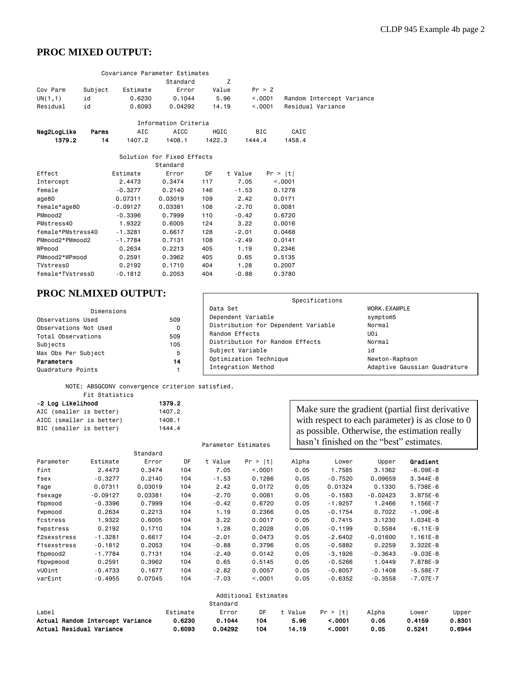# **PROC MIXED OUTPUT:**

|                   |         |            | Covariance Parameter Estimates |        |            |                           |
|-------------------|---------|------------|--------------------------------|--------|------------|---------------------------|
|                   |         |            | Standard                       | z      |            |                           |
| Cov Parm          | Subject | Estimate   | Error                          | Value  | Pr > Z     |                           |
| UN(1,1)           | id      | 0.6230     | 0.1044                         | 5.96   | < 0001     | Random Intercept Variance |
| Residual          | id      | 0.6093     | 0.04292                        | 14.19  | < 0.001    | Residual Variance         |
|                   |         |            | Information Criteria           |        |            |                           |
| Neg2LogLike       | Parms   | AIC        | <b>AICC</b>                    | HQIC   | <b>BIC</b> | CAIC                      |
| 1379.2            | 14      | 1407.2     | 1408.1                         | 1422.3 | 1444.4     | 1458.4                    |
|                   |         |            |                                |        |            |                           |
|                   |         |            | Solution for Fixed Effects     |        |            |                           |
|                   |         |            | Standard                       |        |            |                           |
| Effect            |         | Estimate   | Error                          | DF     | t Value    | Pr >  t                   |
| Intercept         |         | 2.4473     | 0.3474                         | 117    | 7.05       | < 0.001                   |
| female            |         | $-0.3277$  | 0.2140                         | 146    | $-1.53$    | 0.1278                    |
| age80             |         | 0.07311    | 0.03019                        | 109    | 2.42       | 0.0171                    |
| female*age80      |         | $-0.09127$ | 0.03381                        | 108    | $-2.70$    | 0.0081                    |
| PMmood2           |         | $-0.3396$  | 0.7999                         | 110    | $-0.42$    | 0.6720                    |
| PMstress40        |         | 1.9322     | 0.6005                         | 124    | 3.22       | 0.0016                    |
| female*PMstress40 |         | $-1.3281$  | 0.6617                         | 128    | $-2.01$    | 0.0468                    |
| PMmood2*PMmood2   |         | $-1.7784$  | 0.7131                         | 108    | $-2.49$    | 0.0141                    |
| WPmood            |         | 0.2634     | 0.2213                         | 405    | 1.19       | 0.2346                    |
| PMmood2*WPmood    |         | 0.2591     | 0.3962                         | 405    | 0.65       | 0.5135                    |
| TVstress0         |         | 0.2192     | 0.1710                         | 404    | 1.28       | 0.2007                    |
| female*TVstress0  |         | $-0.1812$  | 0.2053                         | 404    | $-0.88$    | 0.3780                    |

 $\Gamma$ 

# **PROC NLMIXED OUTPUT:**

| I ROC NEMIAED OUTI UT.                                                                                                                               |                                   | Specifications                                                                                                                                                                                 |                                                                                                             |
|------------------------------------------------------------------------------------------------------------------------------------------------------|-----------------------------------|------------------------------------------------------------------------------------------------------------------------------------------------------------------------------------------------|-------------------------------------------------------------------------------------------------------------|
| Dimensions<br>Observations Used<br>Observations Not Used<br>Total Observations<br>Subjects<br>Max Obs Per Subject<br>Parameters<br>Quadrature Points | 509<br>0<br>509<br>105<br>5<br>14 | Data Set<br>Dependent Variable<br>Distribution for Dependent Variable<br>Random Effects<br>Distribution for Random Effects<br>Subject Variable<br>Optimization Technique<br>Integration Method | WORK.EXAMPLE<br>symptom5<br>Normal<br>UOi<br>Normal<br>id<br>Newton-Raphson<br>Adaptive Gaussian Quadrature |

 NOTE: ABSGCONV convergence criterion satisfied. Fit Statistics

| -2 Log Likelihood                |            |          | 1379.2   |                     |                      |         |                                                    |            |              |        |  |
|----------------------------------|------------|----------|----------|---------------------|----------------------|---------|----------------------------------------------------|------------|--------------|--------|--|
| AIC (smaller is better)          |            |          | 1407.2   |                     |                      |         | Make sure the gradient (partial first derivative   |            |              |        |  |
| AICC (smaller is better)         |            |          | 1408.1   |                     |                      |         | with respect to each parameter) is as close to $0$ |            |              |        |  |
| BIC (smaller is better)          |            |          | 1444.4   |                     |                      |         | as possible. Otherwise, the estimation really      |            |              |        |  |
|                                  |            |          |          |                     |                      |         | hasn't finished on the "best" estimates.           |            |              |        |  |
|                                  |            |          |          | Parameter Estimates |                      |         |                                                    |            |              |        |  |
|                                  |            | Standard |          |                     |                      |         |                                                    |            |              |        |  |
| Parameter                        | Estimate   | Error    | DF       | t Value             | Pr >  t              | Alpha   | Lower                                              | Upper      | Gradient     |        |  |
| fint                             | 2.4473     | 0.3474   | 104      | 7.05                | < .0001              | 0.05    | 1.7585                                             | 3.1362     | $-6.09E-8$   |        |  |
| fsex                             | $-0.3277$  | 0.2140   | 104      | $-1.53$             | 0.1286               | 0.05    | $-0.7520$                                          | 0.09659    | $3.344E - 8$ |        |  |
| fage                             | 0.07311    | 0.03019  | 104      | 2.42                | 0.0172               | 0.05    | 0.01324                                            | 0.1330     | $5.738E - 6$ |        |  |
| fsexage                          | $-0.09127$ | 0.03381  | 104      | $-2.70$             | 0.0081               | 0.05    | $-0.1583$                                          | $-0.02423$ | $3.875E - 6$ |        |  |
| fbpmood                          | $-0.3396$  | 0.7999   | 104      | $-0.42$             | 0.6720               | 0.05    | $-1.9257$                                          | 1.2466     | $1.156E - 7$ |        |  |
| fwpmood                          | 0.2634     | 0.2213   | 104      | 1.19                | 0.2366               | 0.05    | $-0.1754$                                          | 0.7022     | $-1.09E-8$   |        |  |
| fcstress                         | 1.9322     | 0.6005   | 104      | 3.22                | 0.0017               | 0.05    | 0.7415                                             | 3.1230     | $1.034E - 8$ |        |  |
| fwpstress                        | 0.2192     | 0.1710   | 104      | 1.28                | 0.2028               | 0.05    | $-0.1199$                                          | 0.5584     | $-6.11E-9$   |        |  |
| f2sexstress                      | $-1.3281$  | 0.6617   | 104      | $-2.01$             | 0.0473               | 0.05    | $-2.6402$                                          | $-0.01600$ | $1.161E - 8$ |        |  |
| f1sexstress                      | $-0.1812$  | 0.2053   | 104      | $-0.88$             | 0.3796               | 0.05    | $-0.5882$                                          | 0.2259     | $3.322E - 8$ |        |  |
| fbpmood2                         | $-1.7784$  | 0.7131   | 104      | $-2.49$             | 0.0142               | 0.05    | $-3.1926$                                          | $-0.3643$  | $-9.03E-8$   |        |  |
| fbpwpmood                        | 0.2591     | 0.3962   | 104      | 0.65                | 0.5145               | 0.05    | $-0.5266$                                          | 1.0449     | 7.878E-9     |        |  |
| vUOint                           | $-0.4733$  | 0.1677   | 104      | $-2.82$             | 0.0057               | 0.05    | $-0.8057$                                          | $-0.1408$  | $-5.58E-7$   |        |  |
| varEint                          | $-0.4955$  | 0.07045  | 104      | $-7.03$             | < 0.001              | 0.05    | $-0.6352$                                          | $-0.3558$  | $-7.07E - 7$ |        |  |
|                                  |            |          |          |                     | Additional Estimates |         |                                                    |            |              |        |  |
|                                  |            |          |          | Standard            |                      |         |                                                    |            |              |        |  |
| Label                            |            |          | Estimate | Error               | DF                   | t Value | Pr >  t                                            | Alpha      | Lower        | Upper  |  |
| Actual Random Intercept Variance |            |          | 0.6230   | 0.1044              | 104                  | 5.96    | < .0001                                            | 0.05       | 0.4159       | 0.8301 |  |
| Actual Residual Variance         |            |          | 0.6093   | 0.04292             | 104                  | 14.19   | < .0001                                            | 0.05       | 0.5241       | 0.6944 |  |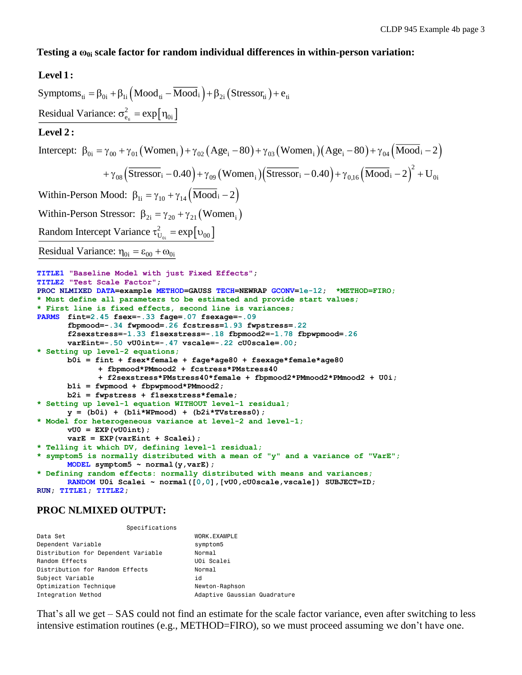### **Testing a ω0i scale factor for random individual differences in within-person variation:**

### **Level 1:**

```
Symptoms_{ti} = \beta_{0i} + \beta_{1i} (Mod_{ti} - \overline{Mod}_i) + \beta_{2i} (Stressor_{ti}) + e_{ti}t_{\text{th}} = \exp[\eta_{0i}]Intercept: \beta_{0i} = \gamma_{00} + \gamma_{01} (Women_i) + \gamma_{02} (Age_i - 80) + \gamma_{03} (Women_i) (Age_i - 80) + \gamma_{04} (\overline{Mod}_i - 2)2
Residual Variance: \sigma_{\rm e}^2 = \exp{\eta_{\rm 0i}}+\gamma_{08}\left(\overline{\rm Stressor}_i-0.40\right)+\gamma_{09}\left(\rm Women_i\right)\left(\overline{\rm Stressor}_i-0.40\right)+\gamma_{0,16}\left(\overline{\rm Wood}_i-2\right)^2Level 2 :
Within-Person Mood: \beta_{1i} = \gamma_{10} + \gamma_{14} (\overline{Mood}_i - 2)Within-Person Stressor: \beta_{2i} = \gamma_{20} + \gamma_{21} (Women<sub>i</sub>)
                                  \sum_{\nu_{0i}}^2 = \exp[\nu_{00}]\rm\,r_{i} -0.40 ) + \rm\gamma_{09} (Women \rm_{i} ) (Stressor \rm_{i} -0.40 ) + \rm\gamma_{0,16} (Mood \rm_{i} -2 ) \rm\, + U \rm_{0i}Random Intercept Variance \tau_{U_{\alpha}}^2 = \exp[\upsilon_{00}]Residual Variance: \eta_{0i} = \varepsilon_{00} + \omega_{0i}TITLE1 "Baseline Model with just Fixed Effects"; 
TITLE2 "Test Scale Factor";
PROC NLMIXED DATA=example METHOD=GAUSS TECH=NEWRAP GCONV=1e-12; *METHOD=FIRO;
* Must define all parameters to be estimated and provide start values;
* First line is fixed effects, second line is variances;
PARMS fint=2.45 fsex=-.33 fage=.07 fsexage=-.09
        fbpmood=-.34 fwpmood=.26 fcstress=1.93 fwpstress=.22
        f2sexstress=-1.33 f1sexstress=-.18 fbpmood2=-1.78 fbpwpmood=.26
         varEint=-.50 vU0int=-.47 vscale=-.22 cU0scale=.00;
* Setting up level-2 equations;
        b0i = fint + fsex*female + fage*age80 + fsexage*female*age80
                 + fbpmood*PMmood2 + fcstress*PMstress40 
                 + f2sexstress*PMstress40*female + fbpmood2*PMmood2*PMmood2 + U0i;
        b1i = fwpmood + fbpwpmood*PMmood2;
         b2i = fwpstress + f1sexstress*female;
* Setting up level-1 equation WITHOUT level-1 residual;
        y = (b0i) + (b1i*WPmood) + (b2i*TVstress0);
* Model for heterogeneous variance at level-2 and level-1;
         vU0 = EXP(vU0int);
        varE = EXP(varEint + Scalei);
* Telling it which DV, defining level-1 residual;
* symptom5 is normally distributed with a mean of "y" and a variance of "VarE";
        MODEL symptom5 ~ normal(y,varE); 
* Defining random effects: normally distributed with means and variances;
        RANDOM U0i Scalei ~ normal([0,0],[vU0,cU0scale,vscale]) SUBJECT=ID; 
RUN; TITLE1; TITLE2;
```
### **PROC NLMIXED OUTPUT:**

#### Specifications

| Data Set                            | WORK.EXAMPLE                 |
|-------------------------------------|------------------------------|
| Dependent Variable                  | symptom5                     |
| Distribution for Dependent Variable | Normal                       |
| Random Effects                      | UOi Scalei                   |
| Distribution for Random Effects     | Normal                       |
| Subject Variable                    | id                           |
| Optimization Technique              | Newton-Raphson               |
| Integration Method                  | Adaptive Gaussian Quadrature |
|                                     |                              |

That's all we get – SAS could not find an estimate for the scale factor variance, even after switching to less intensive estimation routines (e.g., METHOD=FIRO), so we must proceed assuming we don't have one.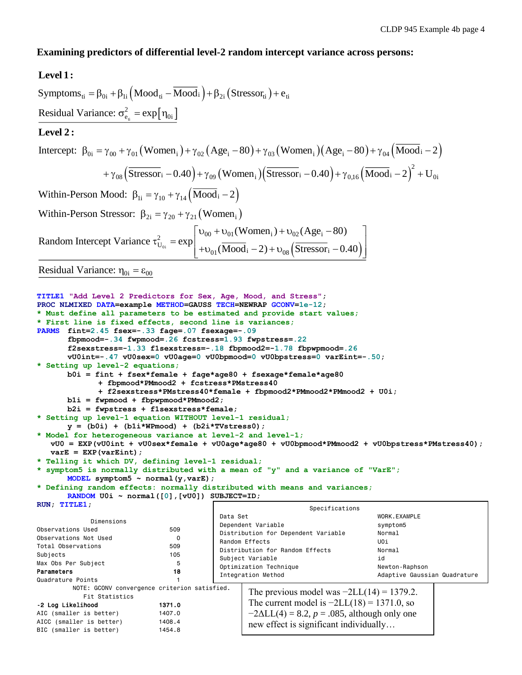### **Examining predictors of differential level-2 random intercept variance across persons:**

### **Level 1:**

```
Symptoms_{ti} = \beta_{0i} + \beta_{1i} (Mod_{ti} - \overline{Mod}_i) + \beta_{2i} (Stressor_{ti}) + e_{ti}t_{\text{t}} = \exp[\eta_{0i}]Intercept: \beta_{0i} = \gamma_{00} + \gamma_{01} (Women_i) + \gamma_{02} (Age_i - 80) + \gamma_{03} (Women_i) (Age_i - 80) + \gamma_{04} (\overline{Mod}_i - 2)2
Residual Variance: \sigma_{\rm e}^2 = \exp{\eta_{0i}}+\gamma_{08}\left(\overline{\rm Stressor}_i-0.40\right)+\gamma_{09}\left(\rm Women_i\right)\left(\overline{\rm Stressor}_i-0.40\right)+\gamma_{0,16}\left(\overline{\rm Wood}_i-2\right)^2Level 2 :
Within-Person Mood: \beta_{1i} = \gamma_{10} + \gamma_{14} (\overline{Mood}_i - 2)Within-Person Stressor: \beta_{2i} = \gamma_{20} + \gamma_{21} (Women<sub>i</sub>)
                                                             0 i
                                                          \rm\,r_{i} -0.40 ) + \rm\gamma_{09} (Women \rm_{i} ) (Stressor \rm_{i} -0.40 ) + \rm\gamma_{0.16} (Mood \rm_{i} -2 ) \rm\, + U \rm_{0i}0_0 o<sub>01</sub> volumer<sub>1</sub>) o<sub>02</sub> (x_5c_1U
                                                                                    01
                                                                                                (\text{Women}_{i}) + \nu_{02}(\text{Age}_{i} - 80)Random Intercept Variance \tau_{U_{\text{av}}}^2 = \exp(-\tau_{U_{\text{av}}}^2)(Mo
                                                                              U_{00} + U_{01} (Women: ) + U_{02} (Age: -\left\{ \tau_{U_{0i}} = \exp \Bigg\vert + \upsilon_{01} (\overline{\text{Mood}}_i - 2) + \upsilon_{08} (\overline{\text{Stressor}}_i - 0.40) \right\}\begin{bmatrix} v_{00} + v_{01} (Women_i) + v_{02} (Age_i - 80) \end{bmatrix}\begin{bmatrix} 00 & 01 \\ 0 & 01 \end{bmatrix} \qquad \begin{bmatrix} 02 \\ 02 \end{bmatrix} \qquad \begin{bmatrix} 0 \\ 0 & 1 \end{bmatrix} \qquad \begin{bmatrix} 0 \\ 0 & 0 \end{bmatrix}\lfloor +\nu_{01}(\text{Mood}_i-2)+\nu_{08}\left(\text{Stressor}_i-0.40\right)\rfloor
```
Residual Variance:  $\eta_{0i} = \epsilon_{00}$ 

```
TITLE1 "Add Level 2 Predictors for Sex, Age, Mood, and Stress";
PROC NLMIXED DATA=example METHOD=GAUSS TECH=NEWRAP GCONV=1e-12; 
* Must define all parameters to be estimated and provide start values;
* First line is fixed effects, second line is variances;
PARMS fint=2.45 fsex=-.33 fage=.07 fsexage=-.09
      fbpmood=-.34 fwpmood=.26 fcstress=1.93 fwpstress=.22
      f2sexstress=-1.33 f1sexstress=-.18 fbpmood2=-1.78 fbpwpmood=.26
       vU0int=-.47 vU0sex=0 vU0age=0 vU0bpmood=0 vU0bpstress=0 varEint=-.50; 
* Setting up level-2 equations;
      b0i = fint + fsex*female + fage*age80 + fsexage*female*age80 
            + fbpmood*PMmood2 + fcstress*PMstress40 
            + f2sexstress*PMstress40*female + fbpmood2*PMmood2*PMmood2 + U0i;
      b1i = fwpmood + fbpwpmood*PMmood2;
       b2i = fwpstress + f1sexstress*female;
* Setting up level-1 equation WITHOUT level-1 residual;
      y = (b0i) + (b1i*WPmood) + (b2i*TVstress0);
* Model for heterogeneous variance at level-2 and level-1;
   vU0 = EXP(vU0int + vU0sex*female + vU0age*age80 + vU0bpmood*PMmood2 + vU0bpstress*PMstress40);
   varE = EXP(varEint);
* Telling it which DV, defining level-1 residual;
* symptom5 is normally distributed with a mean of "y" and a variance of "VarE";
      MODEL symptom5 ~ normal(y,varE); 
* Defining random effects: normally distributed with means and variances;
      RANDOM U0i ~ normal([0],[vU0]) SUBJECT=ID; 
RUN; TITLE1; 
            Dimensions
Observations Used 509
Observations Not Used 0
Total Observations 509
Subjects 105
Max Obs Per Subject 5
Parameters 18
Quadrature Points 1
 NOTE: GCONV convergence criterion satisfied.
  Fit Statistics
-2 Log Likelihood 1371.0 
AIC (smaller is better) 1407.0
AICC (smaller is better) 1408.4
BIC (smaller is better) 1454.8
                                            The previous model was -2LL(14) = 1379.2.
                                            The current model is -2LL(18) = 1371.0, so
                                            -2\Delta LL(4) = 8.2, p = .085, although only one
                                            new effect is significant individually…
                                                         Specifications
                                      Data Set WORK.EXAMPLE
                                      Dependent Variable symptom5
                                      Distribution for Dependent Variable Mormal
                                      Random Effects U0i
                                      Distribution for Random Effects Normal
                                      Subject Variable id
                                      Optimization Technique Newton-Raphson
                                      Integration Method Adaptive Gaussian Quadrature
```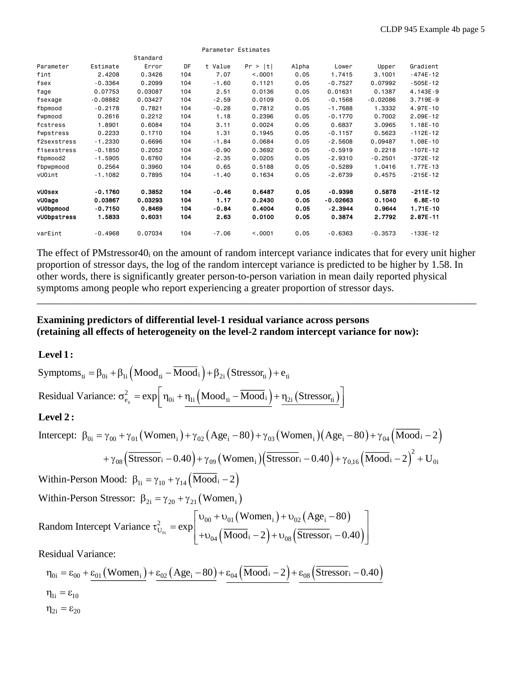|               |            |          |     | Parameter Estimates |         |       |            |            |              |
|---------------|------------|----------|-----|---------------------|---------|-------|------------|------------|--------------|
|               |            | Standard |     |                     |         |       |            |            |              |
| Parameter     | Estimate   | Error    | DF  | t Value             | Pr >  t | Alpha | Lower      | Upper      | Gradient     |
| fint          | 2.4208     | 0.3426   | 104 | 7.07                | < 0001  | 0.05  | 1.7415     | 3.1001     | $-474E-12$   |
| fsex          | $-0.3364$  | 0.2099   | 104 | $-1.60$             | 0.1121  | 0.05  | $-0.7527$  | 0.07992    | $-505E - 12$ |
| fage          | 0.07753    | 0.03087  | 104 | 2.51                | 0.0136  | 0.05  | 0.01631    | 0.1387     | $4.143E - 9$ |
| fsexage       | $-0.08882$ | 0.03427  | 104 | $-2.59$             | 0.0109  | 0.05  | $-0.1568$  | $-0.02086$ | 3.719E-9     |
| fbpmood       | $-0.2178$  | 0.7821   | 104 | $-0.28$             | 0.7812  | 0.05  | $-1.7688$  | 1.3332     | 4.97E-10     |
| fwpmood       | 0.2616     | 0.2212   | 104 | 1.18                | 0.2396  | 0.05  | $-0.1770$  | 0.7002     | 2.09E-12     |
| fcstress      | 1.8901     | 0.6084   | 104 | 3.11                | 0.0024  | 0.05  | 0.6837     | 3.0965     | $1.18E - 10$ |
| fwpstress     | 0.2233     | 0.1710   | 104 | 1.31                | 0.1945  | 0.05  | $-0.1157$  | 0.5623     | $-112E-12$   |
| f2sexstress   | $-1.2330$  | 0.6696   | 104 | $-1.84$             | 0.0684  | 0.05  | $-2.5608$  | 0.09487    | 1.08E-10     |
| f1sexstress   | $-0.1850$  | 0.2052   | 104 | $-0.90$             | 0.3692  | 0.05  | $-0.5919$  | 0.2218     | $-107E - 12$ |
| fbpmood2      | $-1.5905$  | 0.6760   | 104 | $-2.35$             | 0.0205  | 0.05  | $-2.9310$  | $-0.2501$  | $-372E - 12$ |
| fbpwpmood     | 0.2564     | 0.3960   | 104 | 0.65                | 0.5188  | 0.05  | $-0.5289$  | 1.0416     | $1.77E - 13$ |
| vUOint        | $-1.1082$  | 0.7895   | 104 | $-1.40$             | 0.1634  | 0.05  | $-2.6739$  | 0.4575     | $-215E-12$   |
| <b>vU0sex</b> | $-0.1760$  | 0.3852   | 104 | $-0.46$             | 0.6487  | 0.05  | $-0.9398$  | 0.5878     | $-211E-12$   |
| vU0age        | 0.03867    | 0.03293  | 104 | 1.17                | 0.2430  | 0.05  | $-0.02663$ | 0.1040     | $6.8E-10$    |
| vU0bpmood     | $-0.7150$  | 0.8469   | 104 | $-0.84$             | 0.4004  | 0.05  | $-2.3944$  | 0.9644     | $1.71E-10$   |
| vU0bpstress   | 1.5833     | 0.6031   | 104 | 2.63                | 0.0100  | 0.05  | 0.3874     | 2.7792     | 2.87E-11     |
| varEint       | $-0.4968$  | 0.07034  | 104 | $-7.06$             | < 0001  | 0.05  | $-0.6363$  | $-0.3573$  | $-133E - 12$ |

The effect of PMstressor $40<sub>i</sub>$  on the amount of random intercept variance indicates that for every unit higher proportion of stressor days, the log of the random intercept variance is predicted to be higher by 1.58. In other words, there is significantly greater person-to-person variation in mean daily reported physical symptoms among people who report experiencing a greater proportion of stressor days.

\_\_\_\_\_\_\_\_\_\_\_\_\_\_\_\_\_\_\_\_\_\_\_\_\_\_\_\_\_\_\_\_\_\_\_\_\_\_\_\_\_\_\_\_\_\_\_\_\_\_\_\_\_\_\_\_\_\_\_\_\_\_\_\_\_\_\_\_\_\_\_\_\_\_\_\_\_\_\_\_\_\_\_\_\_\_

## **Examining predictors of differential level-1 residual variance across persons (retaining all effects of heterogeneity on the level-2 random intercept variance for now):**

### **Level 1:**

$$
Symptoms_{ti} = \beta_{0i} + \beta_{1i} \left( Mood_{ti} - \overline{Mood}_{i} \right) + \beta_{2i} \left( \text{Stressor}_{ti} \right) + e_{ti}
$$
  
Residual Variance:  $\sigma_{e_{ti}}^{2} = \exp \left[ \eta_{0i} + \underline{\eta_{1i} \left( Mood_{ti} - \overline{Mood}_{i} \right)} + \underline{\eta_{2i} \left( \text{Stressor}_{ti} \right)} \right]$ 

## **Level 2 :**

Intercept: 
$$
\beta_{0i} = \gamma_{00} + \gamma_{01} \left( \text{Women}_i \right) + \gamma_{02} \left( \text{Age}_i - 80 \right) + \gamma_{03} \left( \text{Women}_i \right) \left( \text{Age}_i - 80 \right) + \gamma_{04} \left( \overline{\text{Wood}}_i - 2 \right)
$$
\n $+ \gamma_{08} \left( \overline{\text{Stressor}}_i - 0.40 \right) + \gamma_{09} \left( \text{Women}_i \right) \left( \overline{\text{Stressor}}_i - 0.40 \right) + \gamma_{0.16} \left( \overline{\text{Wood}}_i - 2 \right)^2 + U_{0i}$ \nWithin-Person Model:  $\beta_{1i} = \gamma_{10} + \gamma_{14} \left( \overline{\text{Wood}}_i - 2 \right)$ 

\nWithin-Person Stressor:  $\beta_{2i} = \gamma_{20} + \gamma_{21} \left( \text{Women}_i \right)$ 

\nRandom Intercept Variance  $\tau_{U_{0i}}^2 = \exp \left[ \frac{U_{00} + U_{01} \left( \overline{\text{Women}}_i \right) + U_{02} \left( \text{Age}_i - 80 \right)}{+ U_{04} \left( \overline{\text{Wood}}_i - 2 \right) + U_{08} \left( \overline{\text{Stressor}}_i - 0.40 \right) \right]$ 

Residual Variance:

$$
\begin{aligned} \eta_{0i} &= \epsilon_{00} + \underline{\epsilon_{01} \left( \text{Women}_{i} \right)} + \underline{\epsilon_{02} \left( \text{Age}_{i} - 80 \right)} + \underline{\epsilon_{04} \left( \overline{\text{Mood}}_{i} - 2 \right)} + \underline{\epsilon_{08} \left( \overline{\text{Stressor}}_{i} - 0.40 \right)} \\ \eta_{1i} &= \epsilon_{10} \\ \eta_{2i} &= \epsilon_{20} \end{aligned}
$$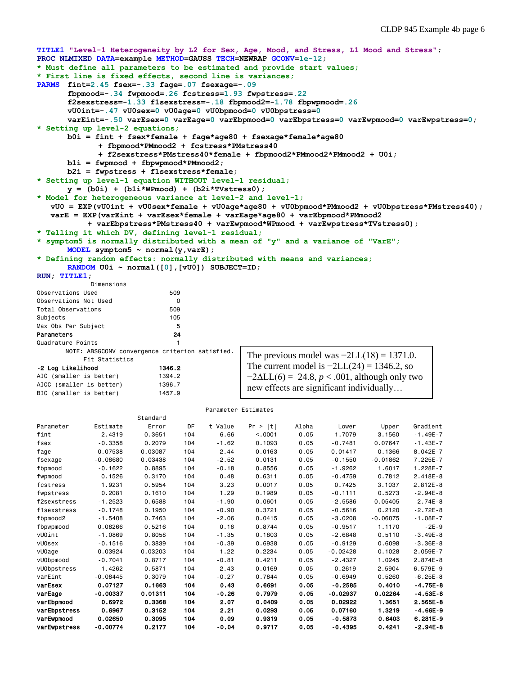```
TITLE1 "Level-1 Heterogeneity by L2 for Sex, Age, Mood, and Stress, L1 Mood and Stress";
PROC NLMIXED DATA=example METHOD=GAUSS TECH=NEWRAP GCONV=1e-12; 
* Must define all parameters to be estimated and provide start values;
* First line is fixed effects, second line is variances;
PARMS fint=2.45 fsex=-.33 fage=.07 fsexage=-.09
      fbpmood=-.34 fwpmood=.26 fcstress=1.93 fwpstress=.22
      f2sexstress=-1.33 f1sexstress=-.18 fbpmood2=-1.78 fbpwpmood=.26
      vU0int=-.47 vU0sex=0 vU0age=0 vU0bpmood=0 vU0bpstress=0
      varEint=-.50 varEsex=0 varEage=0 varEbpmood=0 varEbpstress=0 varEwpmood=0 varEwpstress=0;
* Setting up level-2 equations;
     b0i = fint + fsex*female + fage*age80 + fsexage*female*age80
            + fbpmood*PMmood2 + fcstress*PMstress40 
            + f2sexstress*PMstress40*female + fbpmood2*PMmood2*PMmood2 + U0i;
     b1i = fwpmood + fbpwpmood*PMmood2;
      b2i = fwpstress + f1sexstress*female;
* Setting up level-1 equation WITHOUT level-1 residual;
     y = (b0i) + (b1i*WPmood) + (b2i*TVstress0);
* Model for heterogeneous variance at level-2 and level-1;
   vU0 = EXP(vU0int + vU0sex*female + vU0age*age80 + vU0bpmood*PMmood2 + vU0bpstress*PMstress40);
   varE = EXP(varEint + varEsex*female + varEage*age80 + varEbpmood*PMmood2 
          + varEbpstress*PMstress40 + varEwpmood*WPmood + varEwpstress*TVstress0);
* Telling it which DV, defining level-1 residual;
* symptom5 is normally distributed with a mean of "y" and a variance of "VarE";
     MODEL symptom5 ~ normal(y,varE); 
* Defining random effects: normally distributed with means and variances;
     RANDOM U0i ~ normal([0],[vU0]) SUBJECT=ID; 
RUN; TITLE1; 
           Dimensions
Observations Used 509
Observations Not Used 0
Total Observations 509
Subjects 105
Max Obs Per Subject 5
Parameters 24
Quadrature Points 1
      NOTE: ABSGCONV convergence criterion satisfied.
          Fit Statistics
-2 Log Likelihood 1346.2 
AIC (smaller is better) 1394.2
AICC (smaller is better) 1396.7
BIC (smaller is better) 1457.9
                                 Parameter Estimates
                    Standard
Parameter Estimate Error DF t Value Pr > |t| Alpha Lower Upper Gradient
fint 2.4319 0.3651 104 6.66 <.0001 0.05 1.7079 3.1560 -1.49E-7
fsex -0.3358 0.2079 104 -1.62 0.1093 0.05 -0.7481 0.07647 -1.43E-7
fage 0.07538 0.03087 104 2.44 0.0163 0.05 0.01417 0.1366 8.042E-7
fsexage -0.08680 0.03438 104 -2.52 0.0131 0.05 -0.1550 -0.01862 7.225E-7
fbpmood -0.1622 0.8895 104 -0.18 0.8556 0.05 -1.9262 1.6017 1.228E-7
fwpmood 0.1526 0.3170 104 0.48 0.6311 0.05 -0.4759 0.7812 2.418E-8
fcstress 1.9231 0.5954 104 3.23 0.0017 0.05 0.7425 3.1037 2.812E-8
fwpstress 0.2081 0.1610 104 1.29 0.1989 0.05 -0.1111 0.5273 -2.94E-8
f2sexstress -1.2523 0.6588 104 -1.90 0.0601 0.05 -2.5586 0.05405 2.74E-8
f1sexstress -0.1748 0.1950 104 -0.90 0.3721 0.05 -0.5616 0.2120 -2.72E-8
fbpmood2 -1.5408 0.7463 104 -2.06 0.0415 0.05 -3.0208 -0.06075 -1.08E-7
fbpwpmood 0.08266 0.5216 104 0.16 0.8744 0.05 -0.9517 1.1170 -2E-9
vU0int -1.0869 0.8058 104 -1.35 0.1803 0.05 -2.6848 0.5110 -3.49E-8
vU0sex -0.1516 0.3839 104 -0.39 0.6938 0.05 -0.9129 0.6098 -3.36E-8
vU0age 0.03924 0.03203 104 1.22 0.2234 0.05 -0.02428 0.1028 2.059E-7
vU0bpmood -0.7041 0.8717 104 -0.81 0.4211 0.05 -2.4327 1.0245 2.874E-8
vU0bpstress 1.4262 0.5871 104 2.43 0.0169 0.05 0.2619 2.5904 6.579E-9
varEint -0.08445 0.3079 104 -0.27 0.7844 0.05 -0.6949 0.5260 -6.25E-8
varEsex 0.07127 0.1663 104 0.43 0.6691 0.05 -0.2585 0.4010 -4.75E-8 
varEage -0.00337 0.01311 104 -0.26 0.7979 0.05 -0.02937 0.02264 -4.53E-8 
varEbpmood 0.6972 0.3368 104 2.07 0.0409 0.05 0.02922 1.3651 2.565E-8 
varEbpstress 0.6967 0.3152 104 2.21 0.0293 0.05 0.07160 1.3219 -4.66E-9 
varEwpmood 0.02650 0.3095 104 0.09 0.9319 0.05 -0.5873 0.6403 6.281E-9 
                                         The previous model was -2LL(18) = 1371.0.
                                        The current model is -2LL(24) = 1346.2, so
                                         -2\Delta L L(6) = 24.8, p < .001, although only two
                                         new effects are significant individually…
```
varEwpstress -0.00774 0.2177 104 -0.04 0.9717 0.05 -0.4395 0.4241 -2.94E-8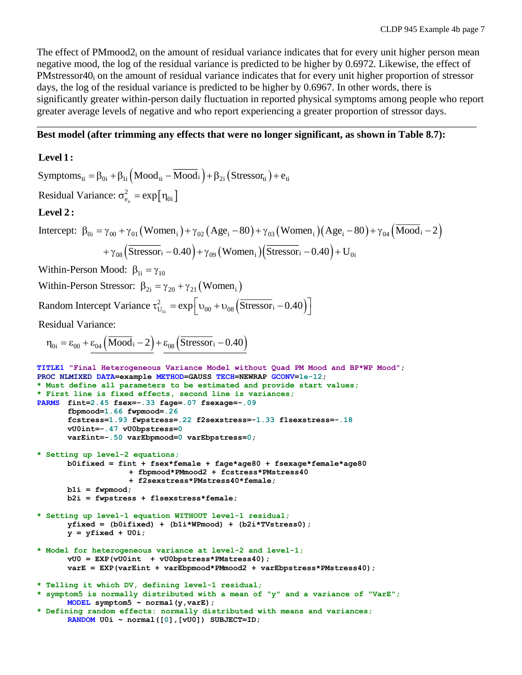The effect of  $PMmood2_i$  on the amount of residual variance indicates that for every unit higher person mean negative mood, the log of the residual variance is predicted to be higher by 0.6972. Likewise, the effect of PMstressor40<sub>i</sub> on the amount of residual variance indicates that for every unit higher proportion of stressor days, the log of the residual variance is predicted to be higher by 0.6967. In other words, there is significantly greater within-person daily fluctuation in reported physical symptoms among people who report greater average levels of negative and who report experiencing a greater proportion of stressor days.

\_\_\_\_\_\_\_\_\_\_\_\_\_\_\_\_\_\_\_\_\_\_\_\_\_\_\_\_\_\_\_\_\_\_\_\_\_\_\_\_\_\_\_\_\_\_\_\_\_\_\_\_\_\_\_\_\_\_\_\_\_\_\_\_\_\_\_\_\_\_\_\_\_\_\_\_\_\_\_\_\_\_\_\_\_\_

### **Best model (after trimming any effects that were no longer significant, as shown in Table 8.7):**

### **Level 1:**

```
Symptoms_{ti} = \beta_{0i} + \beta_{1i} (Mod_{ti} - \overline{Mod}_i) + \beta_{2i} (Stressor_{ti}) + e_{ti}t_{\text{t}} = \exp[\eta_{0i}]Intercept: \beta_{0i} = \gamma_{00} + \gamma_{01} (Women_i) + \gamma_{02} (Age_i - 80) + \gamma_{03} (Women_i) (Age_i - 80) + \gamma_{04} (\overline{Mod}_i - 2)2
Residual Variance: \sigma_{\rm e_{\rm s}}^2 = \exp{\eta_{\rm 0i}}+\gamma_{08}(\overline{\rm Stressor_i}-0.40)+\gamma_{09}(\rm Women_i)(\overline{\rm Stressor_i}-0.40)+U_{0i}Level 2 :
Within-Person Stressor: \beta_{2i} = \gamma_{20} + \gamma_{21} (Women<sub>i</sub>)
Random Intercept Variance \tau_{U_{0i}}^2 = \exp\left[\upsilon_{00} + \upsilon_{08}\left(\overline{\text{Stressor}}_i - 0.40\right)\right]Within-Person Mood: \beta_{1i} = \gamma_{10}\eta_{0i} = \varepsilon_{00} + \varepsilon_{04} \left( \overline{\text{Mood}}_i - 2 \right) + \varepsilon_{08} \left( \overline{\text{Stressor}}_i - 0.40 \right)Residual Variance: 
TITLE1 "Final Heterogeneous Variance Model without Quad PM Mood and BP*WP Mood";
PROC NLMIXED DATA=example METHOD=GAUSS TECH=NEWRAP GCONV=1e-12; 
* Must define all parameters to be estimated and provide start values;
* First line is fixed effects, second line is variances;
PARMS fint=2.45 fsex=-.33 fage=.07 fsexage=-.09
        fbpmood=1.66 fwpmood=.26
        fcstress=1.93 fwpstress=.22 f2sexstress=-1.33 f1sexstress=-.18
         vU0int=-.47 vU0bpstress=0
        varEint=-.50 varEbpmood=0 varEbpstress=0;
* Setting up level-2 equations;
        b0ifixed = fint + fsex*female + fage*age80 + fsexage*female*age80 
                         + fbpmood*PMmood2 + fcstress*PMstress40 
                         + f2sexstress*PMstress40*female;
        b1i = fwpmood;
        b2i = fwpstress + f1sexstress*female;
* Setting up level-1 equation WITHOUT level-1 residual;
        yfixed = (b0ifixed) + (b1i*WPmood) + (b2i*TVstress0);
        y = yfixed + U0i;
* Model for heterogeneous variance at level-2 and level-1;
         vU0 = EXP(vU0int + vU0bpstress*PMstress40);
        varE = EXP(varEint + varEbpmood*PMmood2 + varEbpstress*PMstress40);
* Telling it which DV, defining level-1 residual;
* symptom5 is normally distributed with a mean of "y" and a variance of "VarE";
        MODEL symptom5 ~ normal(y,varE); 
* Defining random effects: normally distributed with means and variances;
        RANDOM U0i ~ normal([0],[vU0]) SUBJECT=ID;
```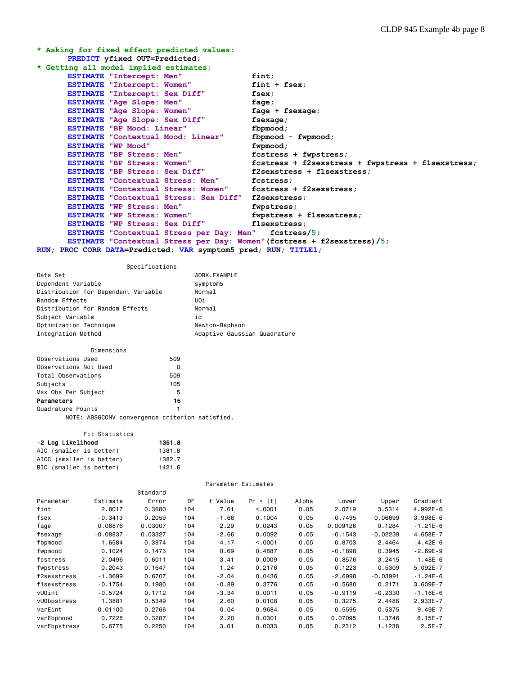```
* Asking for fixed effect predicted values;
      PREDICT yfixed OUT=Predicted;
* Getting all model implied estimates;
      ESTIMATE "Intercept: Men" fint;
      ESTIMATE "Intercept: Women" fint + fsex;
      ESTIMATE "Intercept: Women" fint + fsex;<br>
ESTIMATE "Intercept: Sex Diff" fsex;
      ESTIMATE "Age Slope: Men" fage;<br>
ESTIMATE "Age Slope: Women" fage + fsexage;
      ESTIMATE "Age Slope: Women" fage + fsexage;
      ESTIMATE "Age Slope: Sex Diff" fsexage;
      ESTIMATE "BP Mood: Linear" fbpmood;
     ESTIMATE "Contextual Mood: Linear" fbpmood - fwpmood;
      ESTIMATE "WP Mood" fwpmood;
      ESTIMATE "BP Stress: Men" fcstress + fwpstress;
      ESTIMATE "BP Stress: Women" fcstress + f2sexstress + fwpstress + f1sexstress;
      ESTIMATE "BP Stress: Sex Diff" f2sexstress + f1sexstress;
      ESTIMATE "Contextual Stress: Men" fcstress;
      ESTIMATE "Contextual Stress: Women" fcstress + f2sexstress;
      ESTIMATE "Contextual Stress: Sex Diff" f2sexstress;
      ESTIMATE "WP Stress: Men" fwpstress;
      ESTIMATE "WP Stress: Women" fwpstress + f1sexstress;
      ESTIMATE "WP Stress: Sex Diff"
      ESTIMATE "Contextual Stress per Day: Men" fcstress/5;
      ESTIMATE "Contextual Stress per Day: Women"(fcstress + f2sexstress)/5;
```
**RUN; PROC CORR DATA=Predicted; VAR symptom5 pred; RUN; TITLE1;**

| Specifications                      |                              |
|-------------------------------------|------------------------------|
| Data Set                            | WORK.EXAMPLE                 |
| Dependent Variable                  | symptom5                     |
| Distribution for Dependent Variable | Normal                       |
| Random Effects                      | UOi                          |
| Distribution for Random Effects     | Normal                       |
| Subject Variable                    | id                           |
| Optimization Technique              | Newton-Raphson               |
| Integration Method                  | Adaptive Gaussian Quadrature |
| Dimensions                          |                              |

| Observations Used     | 509 |  |
|-----------------------|-----|--|
| Observations Not Used |     |  |
| Total Observations    | 509 |  |
| Subjects              | 105 |  |
| Max Obs Per Subject   | 5   |  |
| Parameters            | 15  |  |
| Quadrature Points     |     |  |

NOTE: ABSGCONV convergence criterion satisfied.

| Fit Statistics           |        |
|--------------------------|--------|
| -2 Loa Likelihood        | 1351.8 |
| AIC (smaller is better)  | 1381.8 |
| AICC (smaller is better) | 1382.7 |
| BIC (smaller is better)  | 1421.6 |

Parameter Estimates

|              |            | Standard |     |         |          |       |           |            |              |
|--------------|------------|----------|-----|---------|----------|-------|-----------|------------|--------------|
| Parameter    | Estimate   | Error    | DF  | t Value | Pr >  t  | Alpha | Lower     | Upper      | Gradient     |
| fint         | 2.8017     | 0.3680   | 104 | 7.61    | < 0.0001 | 0.05  | 2.0719    | 3.5314     | $4.992E - 6$ |
| fsex         | $-0.3413$  | 0.2059   | 104 | $-1.66$ | 0.1004   | 0.05  | $-0.7495$ | 0.06699    | $3.998E - 6$ |
| fage         | 0.06876    | 0.03007  | 104 | 2.29    | 0.0243   | 0.05  | 0.009126  | 0.1284     | $-1.21E-6$   |
| fsexage      | $-0.08837$ | 0.03327  | 104 | $-2.66$ | 0.0092   | 0.05  | $-0.1543$ | $-0.02239$ | 4.658E-7     |
| fbpmood      | 1.6584     | 0.3974   | 104 | 4.17    | < 0001   | 0.05  | 0.8703    | 2.4464     | $-4.42E-6$   |
| fwpmood      | 0.1024     | 0.1473   | 104 | 0.69    | 0.4887   | 0.05  | $-0.1898$ | 0.3945     | $-2.69E-9$   |
| fcstress     | 2.0496     | 0.6011   | 104 | 3.41    | 0.0009   | 0.05  | 0.8576    | 3.2415     | $-1.48E-6$   |
| fwpstress    | 0.2043     | 0.1647   | 104 | 1.24    | 0.2176   | 0.05  | $-0.1223$ | 0.5309     | $5.092E - 7$ |
| f2sexstress  | $-1.3699$  | 0.6707   | 104 | $-2.04$ | 0.0436   | 0.05  | $-2.6998$ | $-0.03991$ | $-1.24E - 6$ |
| f1sexstress  | $-0.1754$  | 0.1980   | 104 | $-0.89$ | 0.3776   | 0.05  | $-0.5680$ | 0.2171     | $3.609E - 7$ |
| vUOint       | $-0.5724$  | 0.1712   | 104 | $-3.34$ | 0.0011   | 0.05  | $-0.9119$ | $-0.2330$  | $-1.16E-6$   |
| vU0bpstress  | 1.3881     | 0.5349   | 104 | 2.60    | 0.0108   | 0.05  | 0.3275    | 2.4488     | 2.933E-7     |
| varEint      | $-0.01100$ | 0.2766   | 104 | $-0.04$ | 0.9684   | 0.05  | $-0.5595$ | 0.5375     | $-9.49E - 7$ |
| varEbpmood   | 0.7228     | 0.3287   | 104 | 2.20    | 0.0301   | 0.05  | 0.07095   | 1.3746     | $8.15E - 7$  |
| varEbpstress | 0.6775     | 0.2250   | 104 | 3.01    | 0.0033   | 0.05  | 0.2312    | 1.1238     | $2.5E - 7$   |